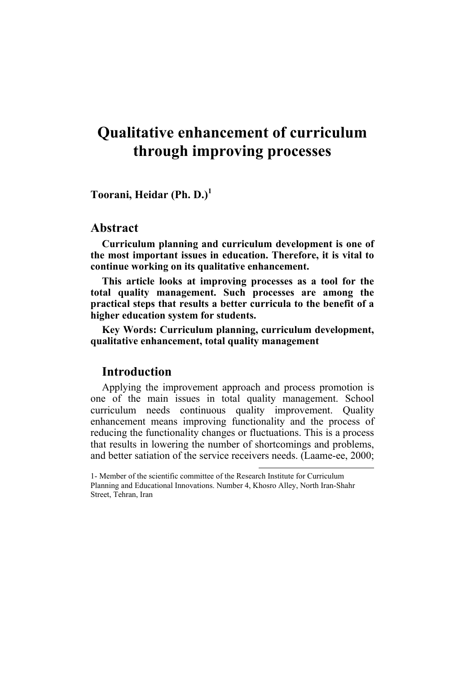# **Qualitative enhancement of curriculum through improving processes**

**Toorani, Heidar (Ph. D.)<sup>1</sup>**

### **Abstract**

**Curriculum planning and curriculum development is one of the most important issues in education. Therefore, it is vital to continue working on its qualitative enhancement.** 

**This article looks at improving processes as a tool for the total quality management. Such processes are among the practical steps that results a better curricula to the benefit of a higher education system for students.** 

**Key Words: Curriculum planning, curriculum development, qualitative enhancement, total quality management** 

#### **Introduction**

Applying the improvement approach and process promotion is one of the main issues in total quality management. School curriculum needs continuous quality improvement. Quality enhancement means improving functionality and the process of reducing the functionality changes or fluctuations. This is a process that results in lowering the number of shortcomings and problems, and better satiation of the service receivers needs. (Laame-ee, 2000;

 $\overline{a}$ 

<sup>1-</sup> Member of the scientific committee of the Research Institute for Curriculum Planning and Educational Innovations. Number 4, Khosro Alley, North Iran-Shahr Street, Tehran, Iran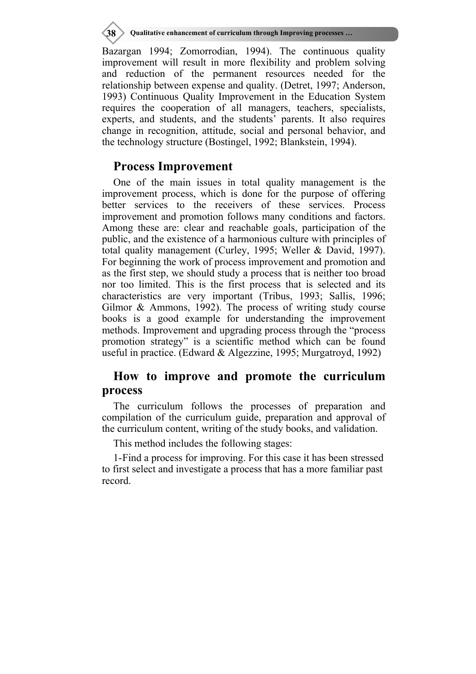**38 Qualitative enhancement of curriculum through Improving processes …**

Bazargan 1994; Zomorrodian, 1994). The continuous quality improvement will result in more flexibility and problem solving and reduction of the permanent resources needed for the relationship between expense and quality. (Detret, 1997; Anderson, 1993) Continuous Quality Improvement in the Education System requires the cooperation of all managers, teachers, specialists, experts, and students, and the students' parents. It also requires change in recognition, attitude, social and personal behavior, and the technology structure (Bostingel, 1992; Blankstein, 1994).

### **Process Improvement**

One of the main issues in total quality management is the improvement process, which is done for the purpose of offering better services to the receivers of these services. Process improvement and promotion follows many conditions and factors. Among these are: clear and reachable goals, participation of the public, and the existence of a harmonious culture with principles of total quality management (Curley, 1995; Weller & David, 1997). For beginning the work of process improvement and promotion and as the first step, we should study a process that is neither too broad nor too limited. This is the first process that is selected and its characteristics are very important (Tribus, 1993; Sallis, 1996; Gilmor & Ammons, 1992). The process of writing study course books is a good example for understanding the improvement methods. Improvement and upgrading process through the "process promotion strategy" is a scientific method which can be found useful in practice. (Edward & Algezzine, 1995; Murgatroyd, 1992)

## **How to improve and promote the curriculum process**

The curriculum follows the processes of preparation and compilation of the curriculum guide, preparation and approval of the curriculum content, writing of the study books, and validation.

This method includes the following stages:

1- Find a process for improving. For this case it has been stressed to first select and investigate a process that has a more familiar past record.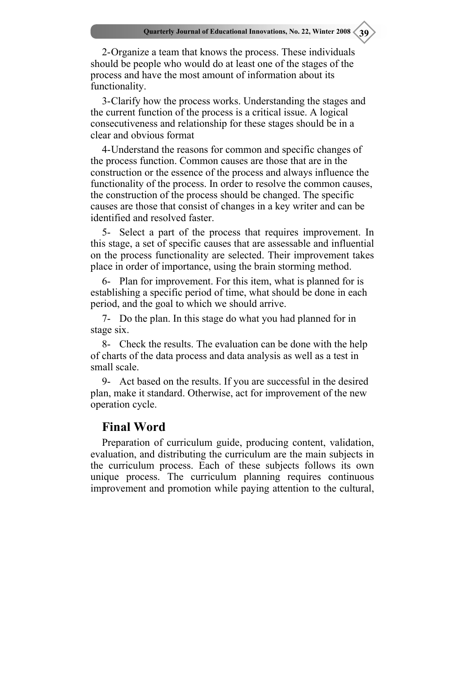2- Organize a team that knows the process. These individuals should be people who would do at least one of the stages of the process and have the most amount of information about its functionality.

3- Clarify how the process works. Understanding the stages and the current function of the process is a critical issue. A logical consecutiveness and relationship for these stages should be in a clear and obvious format

4- Understand the reasons for common and specific changes of the process function. Common causes are those that are in the construction or the essence of the process and always influence the functionality of the process. In order to resolve the common causes, the construction of the process should be changed. The specific causes are those that consist of changes in a key writer and can be identified and resolved faster.

5- Select a part of the process that requires improvement. In this stage, a set of specific causes that are assessable and influential on the process functionality are selected. Their improvement takes place in order of importance, using the brain storming method.

6- Plan for improvement. For this item, what is planned for is establishing a specific period of time, what should be done in each period, and the goal to which we should arrive.

7- Do the plan. In this stage do what you had planned for in stage six.

8- Check the results. The evaluation can be done with the help of charts of the data process and data analysis as well as a test in small scale.

9- Act based on the results. If you are successful in the desired plan, make it standard. Otherwise, act for improvement of the new operation cycle.

#### **Final Word**

Preparation of curriculum guide, producing content, validation, evaluation, and distributing the curriculum are the main subjects in the curriculum process. Each of these subjects follows its own unique process. The curriculum planning requires continuous improvement and promotion while paying attention to the cultural,